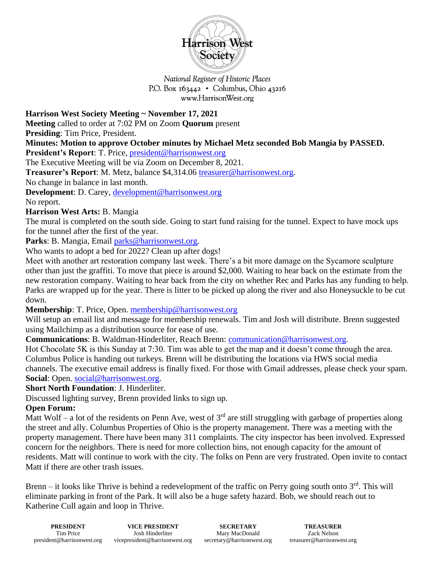

National Register of Historic Places P.O. Box  $163442 \cdot$  Columbus, Ohio 43216 www.HarrisonWest.org

**Harrison West Society Meeting ~ November 17, 2021** 

**Meeting** called to order at 7:02 PM on Zoom **Quorum** present

**Presiding**: Tim Price, President.

**Minutes: Motion to approve October minutes by Michael Metz seconded Bob Mangia by PASSED.** 

**President's Report**: T. Price, [president@harrisonwest.org](mailto:president@harrisonwest.org)

The Executive Meeting will be via Zoom on December 8, 2021.

**Treasurer's Report**: M. Metz, balance \$4,314.06 [treasurer@harrisonwest.org.](mailto:treasurer@harrisonwest.org)

No change in balance in last month.

**Development**: D. Carey, [development@harrisonwest.org](mailto:development@harrisonwest.org)

No report.

## **Harrison West Arts:** B. Mangia

The mural is completed on the south side. Going to start fund raising for the tunnel. Expect to have mock ups for the tunnel after the first of the year.

Parks: B. Mangia, Email [parks@harrisonwest.org.](mailto:parks@harrisonwest.org)

Who wants to adopt a bed for 2022? Clean up after dogs!

Meet with another art restoration company last week. There's a bit more damage on the Sycamore sculpture other than just the graffiti. To move that piece is around \$2,000. Waiting to hear back on the estimate from the new restoration company. Waiting to hear back from the city on whether Rec and Parks has any funding to help. Parks are wrapped up for the year. There is litter to be picked up along the river and also Honeysuckle to be cut down.

**Membership**: T. Price, Open. [membership@harrisonwest.org](mailto:membership@harrisonwest.org)

Will setup an email list and message for membership renewals. Tim and Josh will distribute. Brenn suggested using Mailchimp as a distribution source for ease of use.

**Communications**: B. Waldman-Hinderliter, Reach Brenn: [communication@harrisonwest.org.](mailto:communication@harrisonwest.org)

Hot Chocolate 5K is this Sunday at 7:30. Tim was able to get the map and it doesn't come through the area. Columbus Police is handing out turkeys. Brenn will be distributing the locations via HWS social media channels. The executive email address is finally fixed. For those with Gmail addresses, please check your spam. **Social**: Open. [social@harrisonwest.org.](mailto:social@harrisonwest.org)

**Short North Foundation**: J. Hinderliter.

Discussed lighting survey, Brenn provided links to sign up.

## **Open Forum:**

Matt Wolf – a lot of the residents on Penn Ave, west of  $3<sup>rd</sup>$  are still struggling with garbage of properties along the street and ally. Columbus Properties of Ohio is the property management. There was a meeting with the property management. There have been many 311 complaints. The city inspector has been involved. Expressed concern for the neighbors. There is need for more collection bins, not enough capacity for the amount of residents. Matt will continue to work with the city. The folks on Penn are very frustrated. Open invite to contact Matt if there are other trash issues.

Brenn – it looks like Thrive is behind a redevelopment of the traffic on Perry going south onto  $3^{rd}$ . This will eliminate parking in front of the Park. It will also be a huge safety hazard. Bob, we should reach out to Katherine Cull again and loop in Thrive.